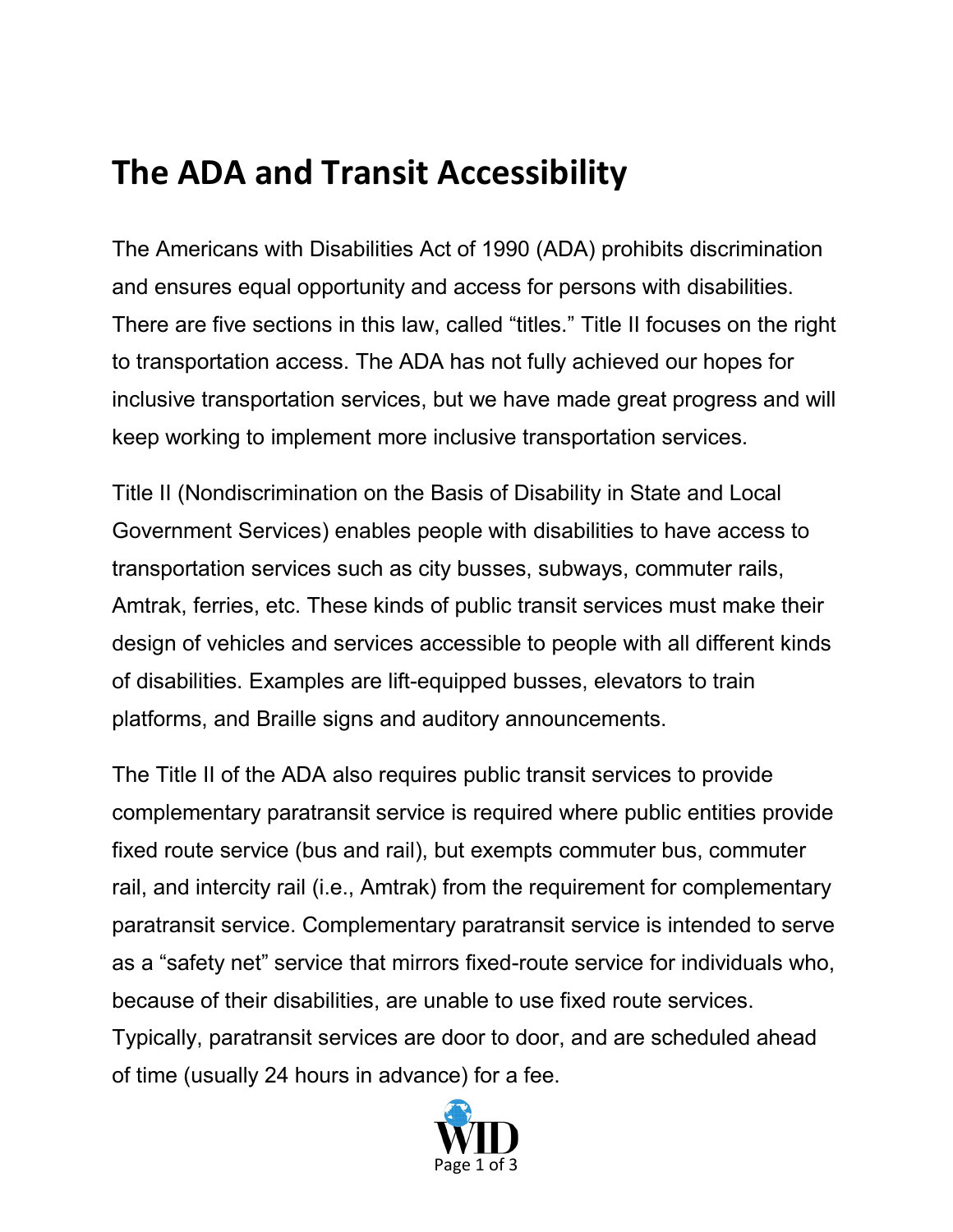## **The ADA and Transit Accessibility**

The Americans with Disabilities Act of 1990 (ADA) prohibits discrimination and ensures equal opportunity and access for persons with disabilities. There are five sections in this law, called "titles." Title II focuses on the right to transportation access. The ADA has not fully achieved our hopes for inclusive transportation services, but we have made great progress and will keep working to implement more inclusive transportation services.

Title II (Nondiscrimination on the Basis of Disability in State and Local Government Services) enables people with disabilities to have access to transportation services such as city busses, subways, commuter rails, Amtrak, ferries, etc. These kinds of public transit services must make their design of vehicles and services accessible to people with all different kinds of disabilities. Examples are lift-equipped busses, elevators to train platforms, and Braille signs and auditory announcements.

The Title II of the ADA also requires public transit services to provide complementary paratransit service is required where public entities provide fixed route service (bus and rail), but exempts commuter bus, commuter rail, and intercity rail (i.e., Amtrak) from the requirement for complementary paratransit service. Complementary paratransit service is intended to serve as a "safety net" service that mirrors fixed-route service for individuals who, because of their disabilities, are unable to use fixed route services. Typically, paratransit services are door to door, and are scheduled ahead of time (usually 24 hours in advance) for a fee.

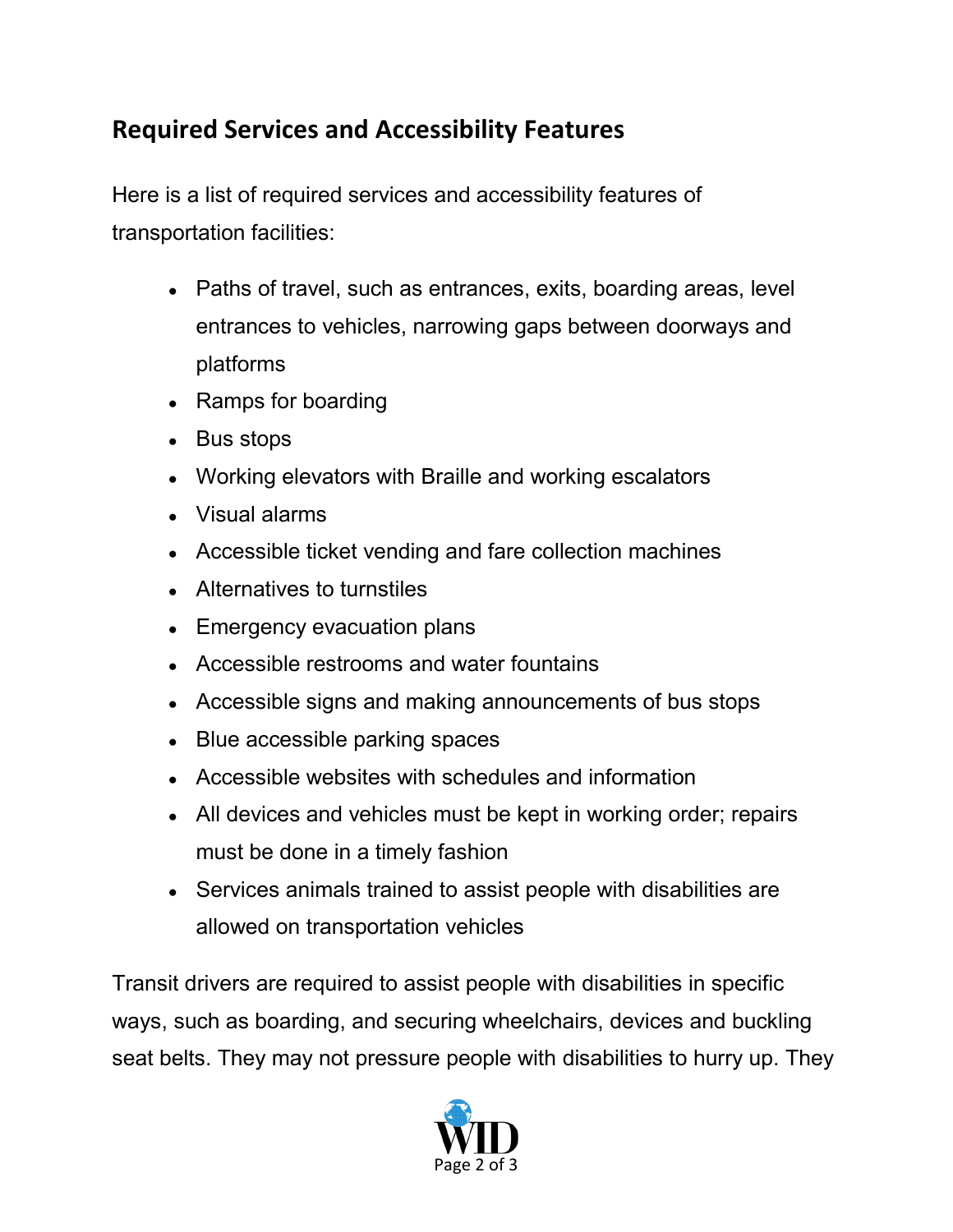## **Required Services and Accessibility Features**

Here is a list of required services and accessibility features of transportation facilities:

- Paths of travel, such as entrances, exits, boarding areas, level entrances to vehicles, narrowing gaps between doorways and platforms
- Ramps for boarding
- Bus stops
- Working elevators with Braille and working escalators
- Visual alarms
- Accessible ticket vending and fare collection machines
- Alternatives to turnstiles
- Emergency evacuation plans
- Accessible restrooms and water fountains
- Accessible signs and making announcements of bus stops
- Blue accessible parking spaces
- Accessible websites with schedules and information
- All devices and vehicles must be kept in working order; repairs must be done in a timely fashion
- Services animals trained to assist people with disabilities are allowed on transportation vehicles

Transit drivers are required to assist people with disabilities in specific ways, such as boarding, and securing wheelchairs, devices and buckling seat belts. They may not pressure people with disabilities to hurry up. They